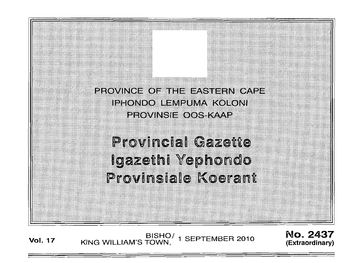PROVINCE OF THE FASTERN CAPE IPHONDO LEMPUMA KOLONI PROVINSIE OOS KAAP

**Provincial Gazette** Igazethi Yephondo Provinsiale Koerant

**Vol. 17** BISHOI KING WILLIAM'S TOWN 1 SEPTEMBER 2010 ,

No. 2437 **(Extraordinary)**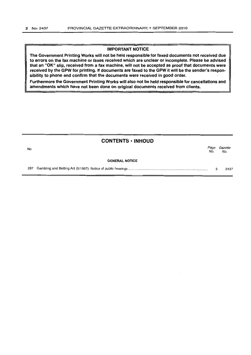#### IMPORTANT NOTICE

The Government Printing Works will not be held responsible for faxed documents not received due to errors on the fax machine or faxes received which are unclear or incomplete. Please be advised that an "OK" slip, received from a fax machine, will not be accepted as proof that documents were received by the GPW for printing. If documents are faxed to the GPW it will be the sender's responsibility to phone and confirm that the documents were received in good order.

Furthermore the Government Printing Works will also not be held responsible for cancellations and amendments which have not been done on original documents received from clients.

# CONTENTS • INHOUD No. *Page Gazette*  No. No. GENERAL NOTICE 287 Gambling and Betting Act (5/1997): Notice of public hearings ..................................................................................... . 3 2437